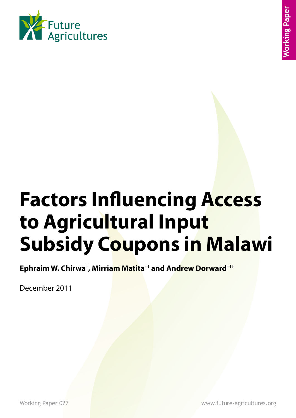

# **Factors Influencing Access to Agricultural Input Subsidy Coupons in Malawi**

**Ephraim W. Chirwa† , Mirriam Matita†† and Andrew Dorward†††**

December 2011

Working Paper 027 www.future-agricultures.org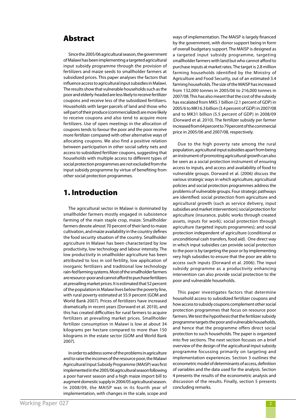# Abstract

Since the 2005/06 agricultural season, the government of Malawi has been implementing a targeted agricultural input subsidy programme through the provision of fertilizers and maize seeds to smallholder farmers at subsidized prices. This paper analyses the factors that influence access to agricultural input subsidies in Malawi. The results show that vulnerable households such as the poor and elderly-headed are less likely to receive fertilizer coupons and receive less of the subsidized fertilizers. Households with larger parcels of land and those who sell part of their produce (commercialized) are more likely to receive coupons and also tend to acquire more fertilizers. Use of open meetings in the allocation of coupons tends to favour the poor and the poor receive more fertilizer compared with other alternative ways of allocating coupons. We also find a positive relation between participation in other social safety nets and access to subsidized fertilizer coupons, suggesting that households with multiple access to different types of social protection programmes are not excluded from the input subsidy programme by virtue of benefiting from other social protection programmes.

## 1. Introduction

The agricultural sector in Malawi is dominated by smallholder farmers mostly engaged in subsistence farming of the main staple crop, maize. Smallholder farmers devote almost 70 percent of their land to maize cultivation, and maize availability in the country defines the food security situation of the country. Smallholder agriculture in Malawi has been characterized by low productivity, low technology and labour intensity. The low productivity in smallholder agriculture has been attributed to loss in soil fertility, low application of inorganic fertilizers and traditional low technology rain-fed farming systems. Most of the smallholder farmers are resource-poor and cannot afford to purchase fertilizers at prevailing market prices. It is estimated that 52 percent of the population in Malawi lives below the poverty line, with rural poverty estimated at 55.9 percent (GOM and World Bank 2007). Prices of fertilizers have increased dramatically in recent years (Dorward et al. 2010), and this has created difficulties for rural farmers to acquire fertilizers at prevailing market prices. Smallholder fertilizer consumption in Malawi is low at about 34 kilograms per hectare compared to more than 150 kilograms in the estate sector (GOM and World Bank 2007).

In order to address some of the problems in agriculture and to raise the incomes of the resource poor, the Malawi Agricultural Input Subsidy Programme (MAISP) was first implemented in the 2005/06 agricultural season following a poor harvest season and a high maize import bill to augment domestic supply in 2004/05 agricultural season. In 2008/09, the MAISP was in its fourth year of implementation, with changes in the scale, scope and ways of implementation. The MAISP is largely financed by the government, with donor support being in form of overall budgetary support. The MAISP is designed as a targeted input subsidy programme, targeting smallholder farmers with land but who cannot afford to purchase inputs at market rates. The target is 2.8 million farming households identified by the Ministry of Agriculture and Food Security, out of an estimated 3.4 farming households. The size of the MAISP has increased from 132,000 tonnes in 2005/06 to 216,000 tonnes in 2007/08. This has also meant that the cost of the subsidy has escalated from MK5.1 billion (2.1 percent of GDP) in 2005/6 to MK16.3 billion (3.4 percent of GDP) in 2007/08 and to MK31 billion (5.5 percent of GDP) in 2008/09 (Dorward et al. 2010). The fertilizer subsidy per farmer increased from 64 percent to 79 percent of the commercial price in 2005/06 and 2007/08, respectively.

Due to the high poverty rate among the rural population, agricultural input subsidies apart from being an instrument of promoting agricultural growth can also be seen as a social protection instrument of ensuring access to inputs, and access and availability of food to vulnerable groups. Dorward et al. (2006) discuss the various strategic ways in which agriculture, agricultural policies and social protection programmes address the problems of vulnerable groups. Four strategic pathways are identified: social protection from agriculture and agricultural growth (such as service delivery, input subsidies and market intervention); social protection for agriculture (insurance, public works through created assets, inputs for work); social protection through agriculture (targeted inputs programmes); and social protection independent of agriculture (conditional or unconditional cash transfers, food aid). One direct way in which input subsidies can provide social protection to the poor is by targeting the poor or by implementing very high subsidies to ensure that the poor are able to access such inputs (Dorward et al. 2006). The input subsidy programme as a productivity enhancing intervention can also provide social protection to the poor and vulnerable households.

This paper investigates factors that determine household access to subsidized fertilizer coupons and how access to subsidy coupons complement other social protection programmes that focus on resource poor farmers. We test the hypothesis that the fertilizer subsidy programme targets the poor and vulnerable households, and hence that the programme offers direct social protection to such households. The paper is organized into five sections. The next section focuses on a brief overview of the design of the agricultural input subsidy programme focussing primarily on targeting and implementation experiences. Section 3 outlines the econometric model of determinants of access, definition of variables and the data used for the analysis. Section 4 presents the results of the econometric analysis and discussion of the results. Finally, section 5 presents concluding remarks.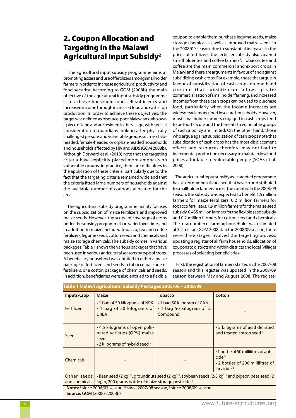# 2. Coupon Allocation and Targeting in the Malawi Agricultural Input Subsidy2

 The agricultural input subsidy programme aims at promoting access and use of fertilizers among smallholder farmers in order to increase agricultural productivity and food security. According to GOM (2008b) the main objective of the agricultural input subsidy programme is to achieve household food self-sufficiency and increased income through increased food and cash crop production. In order to achieve these objectives, the target was defined as resource-poor Malawians who own a piece of land and are resident in the village, with special consideration to guardians looking after physically challenged persons and vulnerable groups such as childheaded, female-headed or orphan-headed households and households affected by HIV and AIDS (GOM 2008b). Although Dorward et al. (2010) note that the targeting criteria have explicitly placed more emphasis on vulnerable groups, in practice, there are difficulties in the application of these criteria, particularly due to the fact that the targeting criteria remained wide and that the criteria fitted large numbers of households against the available number of coupons allocated for the area.

 The agricultural subsidy programme mainly focuses on the subsidization of maize fertilizers and improved maize seeds. However, the scope of coverage of crops under the subsidy programme had varied over time, and in addition to maize included tobacco, tea and coffee fertilizers, legume seeds, cotton seeds and chemicals and maize storage chemicals. The subsidy comes in various packages. Table 1 shows the various packages that have been used in various agricultural seasons by type of crops. A beneficiary household was entitled to either a maize package of fertilizers and seeds, a tobacco package of fertilizers, or a cotton package of chemicals and seeds. In addition, beneficiaries were also entitled to a flexible coupon to enable them purchase legume seeds, maize storage chemicals as well as improved maize seeds. In the 2008/09 season, due to substantial increases in the prices of fertilizers, the fertilizer subsidy also covered smallholder tea and coffee farmers<sup>3</sup>. Tobacco, tea and coffee are the main commercial and export crops in Malawi and there are arguments in favour of and against subsidizing cash crops. For example, those that argue in favour of subsidization of cash crops on one hand contend that subsidization allows greater commercialisation of smallholder farming, and increased incomes from these cash crops can be used to purchase food, particularly when the income increases are widespread among food insecure households. However, most smallholder farmers engaged in cash crops tend to be food secure and the benefits to vulnerable groups of such a policy are limited. On the other hand, those who argue against subsidization of cash crops note that subsidization of cash crops has the most displacement effects and resources therefore may not lead to incremental production necessary to maintain low food prices affordable to vulnerable people (SOAS et al. 2008).

 The agricultural input subsidy as a targeted programme has a fixed number of vouchers that have to be distributed to smallholder farmers across the country. In the 2008/09 season, the subsidy was expected to benefit 1.5 million farmers for maize fertilizers, 0.2 million farmers for tobacco fertilizers, 1.9 million farmers for the maize seed subsidy, 0.435 million farmers for the flexible seed subsidy and 0.2 million farmers for cotton seed and chemicals. The total number of farming households was estimated at 3.2 million (GOM 2008a). In the 2008/09 season, there were three stages involved the targeting process: updating a register of all farm households, allocation of coupons to districts and within districts and local (village) processes of selecting beneficiaries.

 First, the registration of farmers started in the 2007/08 season and this register was updated in the 2008/09 season between May and August 2008. The register

| Table 1 Malawi Agricultural Subsidy Packages 2005/06 - 2008/09                                                                                                                                                                 |                                                                                                                      |                                                                     |                                                                                                               |  |  |  |  |
|--------------------------------------------------------------------------------------------------------------------------------------------------------------------------------------------------------------------------------|----------------------------------------------------------------------------------------------------------------------|---------------------------------------------------------------------|---------------------------------------------------------------------------------------------------------------|--|--|--|--|
| <b>Inputs/Crop</b>                                                                                                                                                                                                             | <b>Maize</b>                                                                                                         | <b>Tobacco</b>                                                      | Cotton                                                                                                        |  |  |  |  |
| Fertilizer                                                                                                                                                                                                                     | • 1 bag of 50 kilograms of NPK<br>• 1 bag of 50 kilograms of<br><b>UREA</b>                                          | • 1 bag 50 kilogram of CAN<br>• 1 bag 50 kilogram of D.<br>Compound |                                                                                                               |  |  |  |  |
| Seeds                                                                                                                                                                                                                          | • 4.5 kilograms of open polli-<br>nated varieties (OPV) maize<br>seed<br>$\cdot$ 2 kilograms of hybrid seed $\alpha$ |                                                                     | • 5 kilograms of acid delinted<br>and treated cotton seed b                                                   |  |  |  |  |
| <b>Chemicals</b>                                                                                                                                                                                                               |                                                                                                                      |                                                                     | •1 bottle of 50 millilitres of aphi-<br>cide <sup>b</sup><br>• 2 bottles of 200 millilitres of<br>larvicide b |  |  |  |  |
| • Bean seed (2 kg) $\frac{b}{r}$ , groundnuts seed (2 kg) $\frac{b}{r}$ , soybean seeds (2-3 kg) $\frac{b}{r}$ and pigeon peas seed (2<br>Other seeds<br>kg) b, 200 grams bottle of maize storage pesticide .<br>and chemicals |                                                                                                                      |                                                                     |                                                                                                               |  |  |  |  |
| Notes: a since 2006/07 season, b since 2007/08 season, c since 2008/09 season                                                                                                                                                  |                                                                                                                      |                                                                     |                                                                                                               |  |  |  |  |
| <b>Source: GOM (2008a; 2008b)</b>                                                                                                                                                                                              |                                                                                                                      |                                                                     |                                                                                                               |  |  |  |  |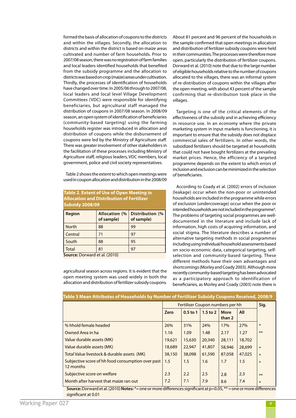formed the basis of allocation of coupons to the districts and within the villages. Secondly, the allocation to districts and within the district is based on maize areas cultivated and number of farm households. Prior to 2007/08 season, there was no registration of farm families and local leaders identified households that benefited from the subsidy programme and the allocation to districts was based on crop (maize) areas under cultivation. Thirdly, the processes of identification of households have changed over time. In 2005/06 through to 2007/08, local leaders and local level Village Development Committees (VDC) were responsible for identifying beneficiaries, but agricultural staff managed the distribution of coupons in 2007/08 season. In 2008/09 season, an open system of identification of beneficiaries (community-based targeting) using the farming households register was introduced in allocation and distribution of coupons while the disbursement of coupons were led by the Ministry of Agriculture staff. There was greater involvement of other stakeholders in the facilitation of these processes including Ministry of Agriculture staff, religious leaders, VDC members, local government, police and civil society representatives.

 Table 2 shows the extent to which open meetings were used in coupon allocation and distribution in the 2008/09

| <b>Table 2. Extent of Use of Open Meeting in</b><br><b>Allocation and Distribution of Fertilizer</b><br><b>Subsidy 2008/09</b> |                                    |                               |  |  |  |
|--------------------------------------------------------------------------------------------------------------------------------|------------------------------------|-------------------------------|--|--|--|
| <b>Region</b>                                                                                                                  | <b>Allocation (%</b><br>of sample) | Distribution (%<br>of sample) |  |  |  |
| <b>North</b>                                                                                                                   | 88                                 | 99                            |  |  |  |
| Central                                                                                                                        | 71                                 | 97                            |  |  |  |
| South                                                                                                                          | 88                                 | 95                            |  |  |  |
| <b>Total</b>                                                                                                                   | 81                                 | 97                            |  |  |  |
| Source: Dorward et al. (2010)                                                                                                  |                                    |                               |  |  |  |

agricultural season across regions. It is evident that the open meeting system was used widely in both the allocation and distribution of fertilizer subsidy coupons. About 81 percent and 96 percent of the households in the sample confirmed that open meetings in allocation and distribution of fertilizer subsidy coupons were held in their communities. The processes were therefore more open, particularly the distribution of fertilizer coupons. Dorward et al. (2010) note that due to the large number of eligible households relative to the number of coupons allocated to the villages, there was an informal system of re-distribution of coupons within the villages after the open meeting, with about 43 percent of the sample confirming that re-distribution took place in the villages.

Targeting is one of the critical elements of the effectiveness of the subsidy and in achieving efficiency in resource use. In an economy where the private marketing system in input markets is functioning, it is important to ensure that the subsidy does not displace commercial sales of fertilizers. In other words, the subsidized fertilizers should be targeted at households that could not have bought fertilizers at the prevailing market prices. Hence, the efficiency of a targeted programme depends on the extent to which errors of inclusion and exclusion can be minimized in the selection of beneficiaries.

 According to Coady et al. (2002) errors of inclusion (leakage) occur when the non-poor or unintended households are included in the programme while errors of exclusion (undercoverage) occur when the poor or intended households are not included in the programme<sup>4</sup>. The problems of targeting social programmes are welldocumented in the literature and include lack of information, high costs of acquiring information, and social stigma. The literature describes a number of alternative targeting methods in social programmes including using individual/household assessments based on socio-economic data, categorical targeting, selfselection and community-based targeting. These different methods have their own advantages and shortcomings (Morley and Coady 2003). Although more recently community-based targeting has been advocated as a participatory approach to identification of beneficiaries, as Morley and Coady (2003) note there is

| Table 3 Mean Attributes of Households by Number of Fertilizer Subsidy Coupons Received, 2008/9 |            |              |                       |        |                                                                                                                           |
|------------------------------------------------------------------------------------------------|------------|--------------|-----------------------|--------|---------------------------------------------------------------------------------------------------------------------------|
| Fertiliser Coupon numbers per hh                                                               |            |              |                       | Sig.   |                                                                                                                           |
| Zero                                                                                           | $0.5$ to 1 | $1.5$ to $2$ | <b>More</b><br>than 2 | All    |                                                                                                                           |
| 26%                                                                                            | 31%        | 24%          | 17%                   | 27%    | $\ast$                                                                                                                    |
| 1.16                                                                                           | 1.09       | 1.48         | 2.17                  | 1.27   | $***$                                                                                                                     |
| 19,621                                                                                         | 15,630     | 20,340       | 28,111                | 18,702 |                                                                                                                           |
| 18,689                                                                                         | 22,947     | 41,807       | 58,946                | 28,699 | $\ast$                                                                                                                    |
| 38,150                                                                                         | 38,098     | 61,590       | 87,058                | 47,025 | $\ast$                                                                                                                    |
| 1.5                                                                                            | 1.5        | 1.6          | 1.7                   | 1.5    | $\ast$                                                                                                                    |
| 2.3                                                                                            | 2.2        | 2.5          | 2.8                   | 2.3    | $***$                                                                                                                     |
| 7.2                                                                                            | 7.1        | 7.9          | 8.6                   | 7.4    | $\ast$                                                                                                                    |
|                                                                                                |            |              |                       |        | Source: Dorward et al. (2010) Notes: $*=$ one or more differences significant at $p=0.05$ , $**=$ one or more differences |

significant at 0.01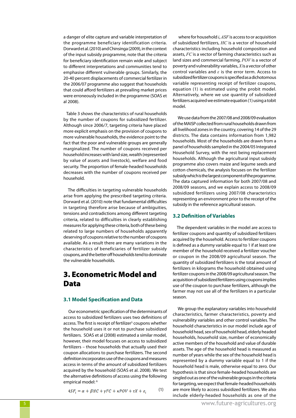a danger of elite capture and variable interpretation of the programme beneficiary identification criteria. Dorward et al. (2010) and Chinsinga (2009), in the context of the input subsidy programme, note that the criteria for beneficiary identification remain wide and subject to different interpretations and communities tend to emphasise different vulnerable groups. Similarly, the 20-40 percent displacements of commercial fertilizer in the 2006/07 programme also suggest that households that could afford fertilizers at prevailing market prices were erroneously included in the programme (SOAS et al 2008).

 Table 3 shows the characteristics of rural households by the number of coupons for subsidized fertilizer. Although since 2006/7, targeting criteria have placed more explicit emphasis on the provision of coupons to more vulnerable households, the evidence point to the fact that the poor and vulnerable groups are generally marginalized. The number of coupons received per household increases with land size, wealth (represented by value of assets and livestock), welfare and food security. The proportion of female-headed households decreases with the number of coupons received per household.

 The difficulties in targeting vulnerable households arise from applying the prescribed targeting criteria. Dorward et al. (2010) note that fundamental difficulties in targeting therefore arise because of ambiguities, tensions and contradictions among different targeting criteria, related to difficulties in clearly establishing measures for applying these criteria, both of these being related to large numbers of households apparently deserving of coupons relative to the number of coupons available. As a result there are many variations in the characteristics of beneficiaries of fertilizer subsidy coupons, and the better off households tend to dominate the vulnerable households.

# 3. Econometric Model and Data

#### **3.1 Model Specification and Data**

Our econometric specification of the determinants of access to subsidized fertilizers uses two definitions of access. The first is receipt of fertilizer<sup>5</sup> coupons whether the household uses it or not to purchase subsidized fertilizers. SOAS et al (2008) estimated a similar model, however, their model focuses on access to subsidized fertilizers – those households that actually used their coupon allocations to purchase fertilizers. The second definition incorporates use of the coupons and measures access in terms of the amount of subsidized fertilizers acquired by the household (SOAS et al. 2008). We test the alternative definitions of access using the following empirical model: 6

$$
4SF_i = \alpha + \beta HC + \gamma FC + \kappa POV + \tau X + \varepsilon_i \tag{1}
$$

 where for household *i*, *ASF* is access to or acquisition of subsidized fertilizers, *HC* is a vector of household characteristics including household composition and assets, *FC* is a vector of farming characteristics such as land sizes and commercial farming, *POV* is a vector of poverty and vulnerability variables, *X* is a vector of other control variables and *ε* is the error term. Access to subsidized fertilizer coupons is specified as a dichotomous variable representing receipt of fertilizer coupons, equation (1) is estimated using the probit model. Alternatively, where we use quantity of subsidized fertilizers acquired we estimate equation (1) using a tobit model.

We use data from the 2007/08 and 2008/09 evaluation of the MAISP collected from rural households drawn from all livelihood zones in the country, covering 14 of the 29 districts. The data contains information from 1,982 households. Most of the households are drawn from a panel of households sampled in the 2004/05 Integrated Household Survey, with the rest being replacement households. Although the agricultural input subsidy programme also covers maize and legume seeds and cotton chemicals, the analysis focuses on the fertilizer subsidy which is the largest component of the programme. The data captured information for both 2007/08 and 2008/09 seasons, and we explain access to 2008/09 subsidized fertilizers using 2007/08 characteristics representing an environment prior to the receipt of the subsidy in the reference agricultural season.

#### **3.2 Definition of Variables**

 The dependent variables in the model are access to fertilizer coupons and quantity of subsidized fertilizers acquired by the household. Access to fertilizer coupons is defined as a dummy variable equal to 1 if at least one member of the household received a fertilizer voucher or coupon in the 2008/09 agricultural season. The quantity of subsidized fertilizers is the total amount of fertilizers in kilograms the household obtained using fertilizer coupons in the 2008/09 agricultural season. The acquisition of subsidized fertilizers using coupons implies use of the coupon to purchase fertilizers, although the farmer may not use all of the fertilizers in a particular season.

We group the explanatory variables into household characteristics, farmer characteristics, poverty and vulnerability variables and other control variables. The household characteristics in our model include age of household head, sex of household head, elderly headed households, household size, number of economically active members of the household and value of durable assets. The age of the household head is measured as number of years while the sex of the household head is represented by a dummy variable equal to 1 if the household head is male, otherwise equal to zero. Our hypothesis is that since female-headed households are singled out as one of the vulnerable groups in the criteria for targeting, we expect that female-headed households are more likely to access subsidized fertilizers. We also include elderly-headed households as one of the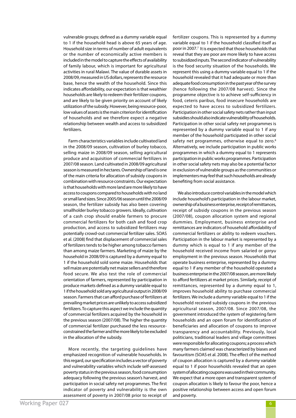vulnerable groups; defined as a dummy variable equal to 1 if the household head is above 65 years of age. Household size in terms of number of adult equivalents or the number of economically active members is included in the model to capture the effects of availability of family labour, which is important for agricultural activities in rural Malawi. The value of durable assets in 2008/09, measured in US dollars, represents the resource base, hence the wealth of the household. Since this indicates affordability, our expectation is that wealthier households are likely to redeem their fertilizer coupons, and are likely to be given priority on account of likely utilization of the subsidy. However, being resource-poor, low values of assets is the main criterion for identification of households and we therefore expect a negative relationship between wealth and access to subsidized fertilizers.

Farm characteristics variables include cultivated land in the 2008/09 season, cultivation of burley tobacco, selling maize in 2008/09 season, selling agricultural produce and acquisition of commercial fertilizers in 2007/08 season. Land cultivated in 2008/09 agricultural season is measured in hectares. Ownership of land is one of the main criteria for allocation of subsidy coupons in combination with resource constraints. Our expectation is that households with more land are more likely to have access to coupons compared to households with no land or small land sizes. Since 2005/06 season until the 2008/09 season, the fertilizer subsidy has also been covering smallholder burley tobacco growers. Ideally, cultivation of a cash crop should enable farmers to procure commercial fertilizers for both cash and food crop production, and access to subsidized fertilizers may potentially crowd-out commercial fertilizer sales. SOAS et al. (2008) find that displacement of commercial sales of fertilizers tends to be higher among tobacco farmers than among maize farmers. Marketing of maize by the household in 2008/09 is captured by a dummy equal to 1 if the household sold some maize. Households that sell maize are potentially net maize sellers and therefore food secure. We also test the role of commercial orientation of farmers, represented by participation in produce markets defined as a dummy variable equal to 1 if the household sold any agricultural output in 2008/09 season. Farmers that can afford purchase of fertilizers at prevailing market prices are unlikely to access subsidized fertilizers. To capture this aspect we include the quantity of commercial fertilizers acquired by the household in the previous season (2007/08). The higher the quantity of commercial fertilizer purchased the less resourceconstrained the farmer and the more likely to be excluded in the allocation of the subsidy.

More recently, the targeting guidelines have emphasized recognition of vulnerable households. In this regard, our specification includes a vector of poverty and vulnerability variables which include self-assessed poverty status in the previous season, food consumption adequacy following the previous season's harvest, and participation in social safety net programmes. The first indicator of poverty and vulnerability is the own assessment of poverty in 2007/08 prior to receipt of fertilizer coupons. This is represented by a dummy variable equal to 1 if the household classified itself as poor in 2007.<sup>7</sup> It is expected that those households that reveal that they are poor are more likely to have access to subsidized inputs. The second indicator of vulnerability is the food security situation of the households. We represent this using a dummy variable equal to 1 if the household revealed that it had adequate or more than adequate food consumption in the past year of the survey (hence following the 2007/08 harvest). Since the programme objective is to achieve self-sufficiency in food, ceteris paribus, food insecure households are expected to have access to subsidized fertilizers. Participation in other social safety nets rather than input subsidies should also indicate vulnerability of households. Participation in other social safety net programmes is represented by a dummy variable equal to 1 if any member of the household participated in other social safety net programmes, otherwise equal to zero.<sup>8</sup> Alternatively, we include participation in public works programmes in which a dummy equal to 1 represents participation in public works programmes. Participation in other social safety nets may also be a potential factor in exclusion of vulnerable groups as the communities or implementers may feel that such households are already benefiting from social assistance.

We also introduce control variables in the model which include household's participation in the labour market, ownership of a business enterprise, receipt of remittances, receipt of subsidy coupons in the previous season (2007/08), coupon allocation system and regional dummies. Employment, business enterprise and remittances are indicators of household affordability of commercial fertilizers or ability to redeem vouchers. Participation in the labour market is represented by a dummy which is equal to 1 if any member of the household received income from salaried or *ganyu*  employment in the previous season. Households that operate business enterprise, represented by a dummy equal to 1 if any member of the household operated a business enterprise in the 2007/08 season, are more likely to afford fertilizers at market prices. Similarly, receipt of remittances, represented by a dummy equal to 1, improves household ability to purchase commercial fertilizers. We include a dummy variable equal to 1 if the household received subsidy coupons in the previous agricultural season, 2007/08. Since 2007/08, the government introduced the system of registering farm households and an open forum for identification of beneficiaries and allocation of coupons to improve transparency and accountability. Previously, local politicians, traditional leaders and village committees were responsible for allocating coupons; a process which many farmers claimed was characterized by biases and favouritism (SOAS et al. 2008). The effect of the method of coupon allocation is captured by a dummy variable equal to 1 if poor households revealed that an open system of allocating coupons was used in their community. We expect that a more open and transparent system of coupon allocation is likely to favour the poor, hence a positive relationship between access and open forum and poverty.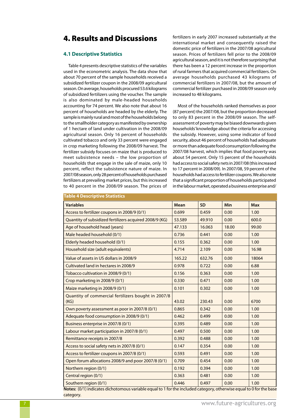## 4. Results and Discussions

## **4.1 Descriptive Statistics**

Table 4 presents descriptive statistics of the variables used in the econometric analysis. The data show that about 70 percent of the sample households received a subsidized fertilizer coupon in the 2008/09 agricultural season. On average, households procured 53.6 kilograms of subsidized fertilizers using the voucher. The sample is also dominated by male-headed households accounting for 74 percent. We also note that about 16 percent of households are headed by the elderly. The sample is mainly rural and most of the households belong to the smallholder category as manifested by ownership of 1 hectare of land under cultivation in the 2008/09 agricultural season. Only 16 percent of households cultivated tobacco and only 33 percent were engaged in crop marketing following the 2008/09 harvest. The fertilizer subsidy focuses on maize that is produced to meet subsistence needs – the low proportion of households that engage in the sale of maize, only 10 percent, reflect the subsistence nature of maize. In 2007/08 season, only 28 percent of households purchased fertilizers at prevailing market prices, but this increased to 40 percent in the 2008/09 season. The prices of fertilizers in early 2007 increased substantially at the international market and consequently raised the domestic price of fertilizers in the 2007/08 agricultural season. Prices of fertilizers fell prior to the 2008/09 agricultural season, and it is not therefore surprising that there has been a 12 percent increase in the proportion of rural farmers that acquired commercial fertilizers. On average households purchased 43 kilograms of commercial fertilizers in 2007/08, but the amount of commercial fertilizer purchased in 2008/09 season only increased to 48 kilograms.

Most of the households ranked themselves as poor (87 percent) the 2007/08, but the proportion decreased to only 83 percent in the 2008/09 season. The selfassessment of poverty may be biased downwards given households' knowledge about the criteria for accessing the subsidy. However, using some indicator of food security, about 46 percent of households had adequate or more than adequate food consumption following the 2007/08 harvest, which implies that food poverty was about 54 percent. Only 15 percent of the households had access to social safety nets in 2007/08 (this increased to 17 percent in 2008/09). In 2007/08, 59 percent of the households had access to fertilizer coupons. We also note that a significant proportion of households participated in the labour market, operated a business enterprise and/

| <u>iapic – Descriptive statistics</u>                       |             |           |            |            |
|-------------------------------------------------------------|-------------|-----------|------------|------------|
| <b>Variables</b>                                            | <b>Mean</b> | <b>SD</b> | <b>Min</b> | <b>Max</b> |
| Access to fertilizer coupons in 2008/9 (0/1)                | 0.699       | 0.459     | 0.00       | 1.00       |
| Quantity of subsidized fertilizers acquired 2008/9 (KG)     | 53.589      | 49.910    | 0.00       | 600.0      |
| Age of household head (years)                               | 47.133      | 16.063    | 18.00      | 99.00      |
| Male headed household (0/1)                                 | 0.736       | 0.441     | 0.00       | 1.00       |
| Elderly headed household (0/1)                              | 0.155       | 0.362     | 0.00       | 1.00       |
| Household size (adult equivalents)                          | 4.714       | 2.109     | 0.00       | 16.98      |
| Value of assets in US dollars in 2008/9                     | 165.22      | 632.76    | 0.00       | 18064      |
| Cultivated land in hectares in 2008/9                       | 0.978       | 0.722     | 0.00       | 6.88       |
| Tobacco cultivation in 2008/9 (0/1)                         | 0.156       | 0.363     | 0.00       | 1.00       |
| Crop marketing in 2008/9 (0/1)                              | 0.330       | 0.471     | 0.00       | 1.00       |
| Maize marketing in 2008/9 (0/1)                             | 0.101       | 0.302     | 0.00       | 1.00       |
| Quantity of commercial fertilizers bought in 2007/8<br>(KG) | 43.02       | 230.43    | 0.00       | 6700       |
| Own poverty assessment as poor in 2007/8 (0/1)              | 0.865       | 0.342     | 0.00       | 1.00       |
| Adequate food consumption in 2008/9 (0/1)                   | 0.462       | 0.499     | 0.00       | 1.00       |
| Business enterprise in 2007/8 (0/1)                         | 0.395       | 0.489     | 0.00       | 1.00       |
| Labour market participation in 2007/8 (0/1)                 | 0.497       | 0.500     | 0.00       | 1.00       |
| Remittance receipts in 2007/8                               | 0.392       | 0.488     | 0.00       | 1.00       |
| Access to social safety nets in 2007/8 (0/1)                | 0.147       | 0.354     | 0.00       | 1.00       |
| Access to fertilizer coupons in 2007/8 (0/1)                | 0.593       | 0.491     | 0.00       | 1.00       |
| Open forum allocations 2008/9 and poor 2007/8 (0/1)         | 0.709       | 0.454     | 0.00       | 1.00       |
| Northern region (0/1)                                       | 0.192       | 0.394     | 0.00       | 1.00       |
| Central region (0/1)                                        | 0.363       | 0.481     | 0.00       | 1.00       |
| Southern region (0/1)                                       | 0.446       | 0.497     | 0.00       | 1.00       |

**Notes:** (0/1) indicates dichotomous variable equal to 1 for the included category, otherwise equal to 0 for the base category.

## **Table 4 Descriptive Statistics**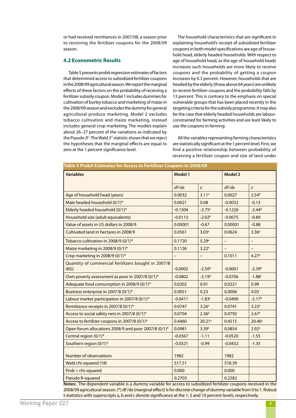or had received remittances in 2007/08, a season prior to receiving the fertilizer coupons for the 2008/09 season.

## **4.2 Econometric Results**

Table 5 presents probit regression estimates of factors that determined access to subsidized fertilizer coupons in the 2008/09 agricultural season. We report the marginal effects of these factors on the probability of receiving a fertilizer subsidy coupon. Model 1 includes dummies for cultivation of burley tobacco and marketing of maize in the 2008/09 season and excludes the dummy for general agricultural produce marketing. Model 2 excludes tobacco cultivation and maize marketing, instead includes general crop marketing. The models explain about 26–27 percent of the variations as indicated by the Pseudo  $R^2$ . The Wald  $X^2$  statistic shows that we reject the hypotheses that the marginal effects are equal to zero at the 1 percent significance level.

The household characteristics that are significant in explaining household's receipt of subsidized fertilizer coupons in both model specifications are age of household head, elderly headed households. With respect to age of household head, as the age of household heads increases such households are more likely to receive coupons and the probability of getting a coupon increases by 0.3 percent. However, households that are headed by the elderly (those above 64 years) are unlikely to receive fertilizer coupons and the probability falls by 13 percent. This is contrary to the emphasis on special vulnerable groups that has been placed recently in the targeting criteria for the subsidy programme. It may also be the case that elderly headed households are labourconstrained for farming activities and are least likely to use the coupons in farming.

All the variables representing farming characteristics are statistically significant at the 1 percent level. First, we find a positive relationship between probability of receiving a fertilizer coupon and size of land under

| Table 5 Probit Estimates for Access to Fertilizer Coupons in 2008/09 |                |                      |                |                   |  |  |  |
|----------------------------------------------------------------------|----------------|----------------------|----------------|-------------------|--|--|--|
| <b>Variables</b>                                                     | <b>Model 1</b> |                      | <b>Model 2</b> |                   |  |  |  |
|                                                                      | dF/dx          | z                    | dF/dx          | z                 |  |  |  |
| Age of household head (years)                                        | 0.0032         | 3.11 <sup>a</sup>    | 0.0027         | 2.54 <sup>b</sup> |  |  |  |
| Male headed household (0/1)*                                         | 0.0021         | 0.08                 | $-0.0032$      | $-0.13$           |  |  |  |
| Elderly headed household (0/1)*                                      | $-0.1304$      | $-2.75$ <sup>a</sup> | $-0.1226$      | $-2.44b$          |  |  |  |
| Household size (adult equivalents)                                   | $-0.0113$      | $-2.02b$             | $-0.0075$      | $-0.89$           |  |  |  |
| Value of assets in US dollars in 2008/9                              | 0.00001        | $-0.67$              | 0.00001        | $-0.88$           |  |  |  |
| Cultivated land in hectares in 2008/9                                | 0.0561         | 3.03 <sup>a</sup>    | 0.0624         | 3.36 <sup>a</sup> |  |  |  |
| Tobacco cultivation in 2008/9 (0/1)*                                 | 0.1720         | 5.29a                |                | <sup>-</sup>      |  |  |  |
| Maize marketing in 2008/9 (0/1)*                                     | 0.1126         | 3.22a                |                |                   |  |  |  |
| Crop marketing in 2008/9 (0/1)*                                      |                |                      | 0.1011         | 4.27a             |  |  |  |
| Quantity of commercial fertilizers bought in 2007/8<br>(KG)          | $-0.0002$      | $-2.50b$             | $-0.0001$      | $-2.39b$          |  |  |  |
| Own poverty assessment as poor in 2007/8 (0/1)*                      | $-0.0802$      | $-2.19b$             | $-0.0706$      | $-1.88c$          |  |  |  |
| Adequate food consumption in 2008/9 (0/1)*                           | 0.0202         | 0.91                 | 0.0221         | 0.99              |  |  |  |
| Business enterprise in 2007/8 (0/1)*                                 | 0.0051         | 0.23                 | 0.0006         | 0.03              |  |  |  |
| Labour market participation in 2007/8 (0/1)*                         | $-0.0411$      | $-1.83c$             | $-0.0490$      | $-2.17b$          |  |  |  |
| Remittance receipts in 2007/8 (0/1)*                                 | 0.0747         | 3.26 <sup>a</sup>    | 0.0741         | 3.23a             |  |  |  |
| Access to social safety nets in 2007/8 (0/1)*                        | 0.0704         | 2.36 <sup>b</sup>    | 0.0792         | 2.67a             |  |  |  |
| Access to fertilizer coupons in 2007/8 (0/1)*                        | 0.4460         | $20.21$ <sup>a</sup> | 0.4515         | $20.46^a$         |  |  |  |
| Open forum allocations 2008/9 and poor 2007/8 (0/1)*                 | 0.0981         | 3.39 <sup>a</sup>    | 0.0854         | 2.92 <sup>a</sup> |  |  |  |
| Central region (0/1)*                                                | $-0.0367$      | $-1.11$              | $-0.0520$      | $-1.55$           |  |  |  |
| Southern region (0/1)*                                               | $-0.0321$      | $-0.99$              | $-0.0432$      | $-1.35$           |  |  |  |
| Number of observations                                               | 1982           |                      | 1982           |                   |  |  |  |
| Wald chi-squared (18)                                                | 517.51         |                      | 518.39         |                   |  |  |  |
| Prob > chi-squared                                                   | 0.000          |                      | 0.000          |                   |  |  |  |
| Pseudo R-squared                                                     | 0.2703         |                      | 0.2582         |                   |  |  |  |

**Notes:** The dependent variable is a dummy variable for access to subsidized fertilizer coupons received in the 2008/09 agricultural season. (\*) dF/dx (marginal effect) is for discrete change of dummy variable from 0 to 1. Robust t-statistics with superscripts a, b and c denote significance at the 1, 5 and 10 percent levels, respectively.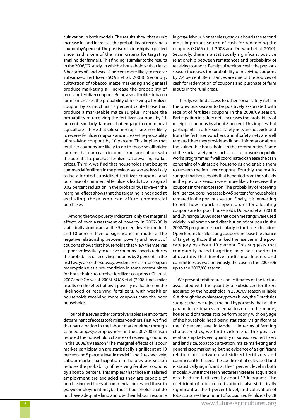cultivation in both models. The results show that a unit increase in land increases the probability of receiving a coupon by 6 percent. The positive relationship is expected since land is one of the main criteria for targeting smallholder farmers. This finding is similar to the results in the 2006/07 study, in which a household with at least 3 hectares of land was 14 percent more likely to receive subsidized fertilizer (SOAS et al. 2008). Secondly, cultivation of tobacco, maize marketing and general produce marketing all increase the probability of receiving fertilizer coupons. Being a smallholder tobacco farmer increases the probability of receiving a fertilizer coupon by as much as 17 percent while those that produce a marketable maize surplus increase the probability of receiving the fertilizer coupons by 11 percent. Similarly, farmers that engage in commercial agriculture – those that sold some crops – are more likely to receive fertilizer coupons and increase the probability of receiving coupons by 10 percent. This implies that fertilizer coupons are likely to go to those smallholder farmers that earn cash incomes from agriculture with the potential to purchase fertilizers at prevailing market prices. Thirdly, we find that households that bought commercial fertilizers in the previous season are less likely to be allocated subsidized fertilizer coupons, and purchase of commercial fertilizers leads to a marginal 0.02 percent reduction in the probability. However, the marginal effect shows that the targeting is not good at excluding those who can afford commercial purchases.

Among the two poverty indicators, only the marginal effects of own assessment of poverty in 2007/08 is statistically significant at the 5 percent level in model 1 and 10 percent level of significance in model 2. The negative relationship between poverty and receipt of coupons shows that households that view themselves as poor are less likely to receive coupons. Poverty reduces the probability of receiving coupons by 8 percent. In the first two years of the subsidy, evidence of cash for coupon redemption was a pre-condition in some communities for households to receive fertilizer coupons (ICL et al. 2007 and SOAS et al. 2008). SOAS et al. (2008) find similar results on the effect of own poverty evaluation on the likelihood of receiving fertilizers, with wealthier households receiving more coupons than the poor households.

Four of the seven other control variables are important determinant of access to fertilizer vouchers. First, we find that participation in the labour market either through salaried or *ganyu* employment in the 2007/08 season reduced the household's chances of receiving coupons in the 2008/09 season<sup>9</sup> The marginal effects of labour market participation are statistically significant at 10 percent and 5 percent level in model 1 and 2, respectively. Labour market participation in the previous season reduces the probability of receiving fertilizer coupons by about 5 percent. This implies that those in salaried employment are excluded as they are capable of purchasing fertilizers at commercial prices and those in *ganyu* employment maybe those households that do not have adequate land and use their labour resource in *ganyu* labour. Nonetheless, *ganyu* labour is the second most important source of cash for redeeming the coupons (SOAS et al. 2008 and Dorward et al. 2010). Secondly, there is a statistically significant positive relationship between remittances and probability of receiving coupons. Receipt of remittances in the previous season increases the probability of receiving coupons by 7.4 percent. Remittances are one of the sources of cash for redemption of coupons and purchase of farm inputs in the rural areas.

Thirdly, we find access to other social safety nets in the previous season to be positively associated with receipt of fertilizer coupons in the 2008/09 season. Participation in safety nets increases the probability of receipt of coupons by about 8 percent. This implies that participants in other social safety nets are not excluded from the fertilizer vouchers, and if safety nets are well targeted then they provide additional information about the vulnerable households in the communities. Some of the social safety nets such as cash-for-work or public works programmes if well coordinated can ease the cash constraint of vulnerable households and enable them to redeem the fertilizer coupons. Fourthly, the results suggest that households that benefited from the subsidy in the previous season were more likely to receive the coupons in the next season. The probability of receiving fertilizer coupons increases by 45 percent for households targeted in the previous season. Finally, it is interesting to note how important open forums for allocating coupons are for poor households. Dorward et al. (2010) and Chinsinga (2009) note that open meetings were used widely in allocation and distribution of coupons in the 2008/09 programme, particularly in the base allocation. Open forums for allocating coupons increase the chance of targeting those that ranked themselves in the poor category by about 10 percent. This suggests that community-based targeting may be superior to allocations that involve traditional leaders and committees as was previously the case in the 2005/06 up to the 2007/08 season.

We present tobit regression estimates of the factors associated with the quantity of subsidized fertilizers acquired by the households in 2008/09 season in Table 6. Although the explanatory power is low, the F-statistics suggest that we reject the null hypothesis that all the parameter estimates are equal to zero. In this model, household characteristics perform poorly, with only age of the household head being statistically significant at the 10 percent level in Model 1. In terms of farming characteristics, we find evidence of the positive relationship between quantity of subsidized fertilizers and land size, tobacco cultivation, maize marketing and general crop marketing, but no evidence of a significant relationship between subsidized fertilizers and commercial fertilizers. The coefficient of cultivated land is statistically significant at the 1 percent level in both models. A unit increase in hectares increases acquisition of subsidized fertilizers by about 13 kilograms. The coefficient of tobacco cultivation is also statistically significant at the 1 percent level, and cultivation of tobacco raises the amount of subsidized fertilizers by 28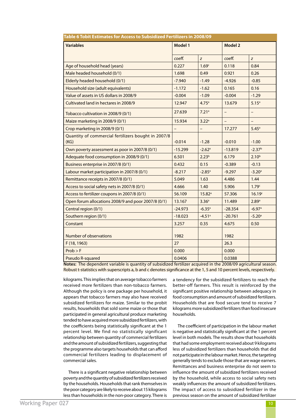| Table 6 Tobit Estimates for Access to Subsidized Fertilizers in 2008/09 |                |                      |                   |                          |  |  |
|-------------------------------------------------------------------------|----------------|----------------------|-------------------|--------------------------|--|--|
| <b>Variables</b>                                                        | <b>Model 1</b> |                      | <b>Model 2</b>    |                          |  |  |
|                                                                         | coeff.         | z                    | coeff.            | z                        |  |  |
| Age of household head (years)                                           | 0.227          | 1.69 <sup>c</sup>    | 0.118             | 0.84                     |  |  |
| Male headed household (0/1)                                             | 1.698          | 0.49                 | 0.921             | 0.26                     |  |  |
| Elderly headed household (0/1)                                          | $-7.940$       | $-1.49$              | $-4.926$          | $-0.85$                  |  |  |
| Household size (adult equivalents)                                      | $-1.172$       | $-1.62$              | 0.165             | 0.16                     |  |  |
| Value of assets in US dollars in 2008/9                                 | $-0.004$       | $-1.09$              | $-0.004$          | $-1.29$                  |  |  |
| Cultivated land in hectares in 2008/9                                   | 12.947         | 4.75 <sup>a</sup>    | 13.679            | 5.15 <sup>a</sup>        |  |  |
| Tobacco cultivation in 2008/9 (0/1)                                     | 27.639         | 7.21 <sup>a</sup>    |                   | $\overline{\phantom{0}}$ |  |  |
| Maize marketing in 2008/9 (0/1)                                         | 15.934         | 3.22 <sup>a</sup>    | $\qquad \qquad -$ | —                        |  |  |
| Crop marketing in 2008/9 (0/1)                                          | $\equiv$       | $\qquad \qquad -$    | 17.277            | 5.45 <sup>a</sup>        |  |  |
| Quantity of commercial fertilizers bought in 2007/8<br>(KG)             | $-0.014$       | $-1.28$              | $-0.010$          | $-1.00$                  |  |  |
| Own poverty assessment as poor in 2007/8 (0/1)                          | $-15.299$      | $-2.62$ <sup>a</sup> | $-13.819$         | $-2.37b$                 |  |  |
| Adequate food consumption in 2008/9 (0/1)                               | 6.501          | 2.23 <sup>b</sup>    | 6.179             | $2.10^{b}$               |  |  |
| Business enterprise in 2007/8 (0/1)                                     | 0.432          | 0.15                 | $-0.389$          | $-0.13$                  |  |  |
| Labour market participation in 2007/8 (0/1)                             | $-8.217$       | $-2.85$ <sup>a</sup> | $-9.297$          | $-3.20a$                 |  |  |
| Remittance receipts in 2007/8 (0/1)                                     | 5.049          | 1.63                 | 4.486             | 1.44                     |  |  |
| Access to social safety nets in 2007/8 (0/1)                            | 4.666          | 1.40                 | 5.906             | 1.79 <sup>c</sup>        |  |  |
| Access to fertilizer coupons in 2007/8 (0/1)                            | 56.109         | 15.82a               | 57.306            | 16.19c                   |  |  |
| Open forum allocations 2008/9 and poor 2007/8 (0/1)                     | 13.167         | 3.36 <sup>a</sup>    | 11.489            | 2.89a                    |  |  |
| Central region (0/1)                                                    | $-24.973$      | $-6.35$ <sup>a</sup> | $-28.354$         | $-6.97a$                 |  |  |
| Southern region (0/1)                                                   | $-18.023$      | $-4.51a$             | $-20.761$         | $-5.20a$                 |  |  |
| Constant                                                                | 3.257          | 0.35                 | 4.675             | 0.50                     |  |  |
| Number of observations                                                  | 1982           |                      | 1982              |                          |  |  |
| F (18, 1963)                                                            | 27             |                      | 26.3              |                          |  |  |
| Prob > F                                                                | 0.000          |                      | 0.000             |                          |  |  |
| Pseudo R-squared                                                        | 0.0406         |                      | 0.0388            |                          |  |  |

**Table 6 Tobit Estimates for Access to Subsidized Fertilizers in 2008/09**

**Notes:** The dependent variable is quantity of subsidized fertilizer acquired in the 2008/09 agricultural season. Robust t-statistics with superscripts a, b and c denotes significance at the 1, 5 and 10 percent levels, respectively.

kilograms. This implies that on average tobacco farmers received more fertilizers than non-tobacco farmers. Although the policy is one package per household, it appears that tobacco farmers may also have received subsidized fertilizers for maize. Similar to the probit results, households that sold some maize or those that participated in general agricultural produce marketing tended to have acquired more subsidized fertilizers, with the coefficients being statistically significant at the 1 percent level. We find no statistically significant relationship between quantity of commercial fertilizers and the amount of subsidized fertilizers, suggesting that the programme also targets households that can afford commercial fertilizers leading to displacement of commercial sales.

There is a significant negative relationship between poverty and the quantity of subsidized fertilizers received by the households. Households that rank themselves in the poor category are likely to receive about 15 kilograms less than households in the non-poor category. There is a tendency for the subsidized fertilizers to reach the better-off farmers. This result is reinforced by the significant positive relationship between adequacy in food consumption and amount of subsidized fertilizers. Households that are food secure tend to receive 7 kilograms more subsidized fertilizers than food insecure households.

The coefficient of participation in the labour market is negative and statistically significant at the 1 percent level in both models. The results show that households that had some employment received about 9 kilograms less of subsidized fertilizers than households that did not participate in the labour market. Hence, the targeting generally tends to exclude those that are wage earners. Remittances and business enterprise do not seem to influence the amount of subsidized fertilizers received by the household, while access to social safety nets weakly influences the amount of subsidized fertilizers. The impact of access to subsidized fertilizer in the previous season on the amount of subsidized fertilizer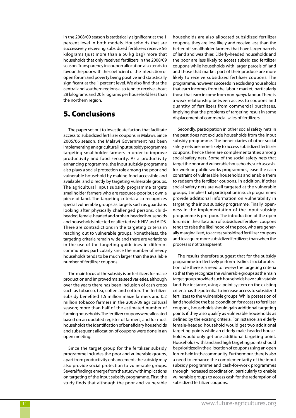in the 2008/09 season is statistically significant at the 1 percent level in both models. Households that are successively receiving subsidized fertilizers receive 56 kilograms (just more than a 50 kg bag) more that households that only received fertilizers in the 2008/09 season. Transparency in coupon allocation also tends to favour the poor with the coefficient of the interaction of open forum and poverty being positive and statistically significant at the 1 percent level. We also find that the central and southern regions also tend to receive about 28 kilograms and 20 kilograms per household less than the northern region.

# 5. Conclusions

The paper set out to investigate factors that facilitate access to subsidized fertilizer coupons in Malawi. Since 2005/06 season, the Malawi Government has been implementing an agricultural input subsidy programme targeting smallholder farmers in order to improve productivity and food security. As a productivity enhancing programme, the input subsidy programme also plays a social protection role among the poor and vulnerable household by making food accessible and available, and directly by targeting vulnerable groups. The agricultural input subsidy programme targets smallholder farmers who are resource-poor but own a piece of land. The targeting criteria also recognizes special vulnerable groups as targets such as guardians looking after physically challenged persons, childheaded, female-headed and orphan-headed households and households infected or affected with HIV and AIDS. There are contradictions in the targeting criteria in reaching out to vulnerable groups. Nonetheless, the targeting criteria remain wide and there are variations in the use of the targeting guidelines in different communities particularly since the number of needy households tends to be much larger than the available number of fertilizer coupons.

The main focus of the subsidy is on fertilizers for maize production and improved maize seed varieties, although over the years there has been inclusion of cash crops such as tobacco, tea, coffee and cotton. The fertilizer subsidy benefited 1.5 million maize farmers and 0.2 million tobacco farmers in the 2008/09 agricultural season; more than half of the estimated number of farming households. The fertilizer coupons were allocated based on an updated register of farmers, and for most households the identification of beneficiary households and subsequent allocation of coupons were done in an open meeting.

Since the target group for the fertilizer subsidy programme includes the poor and vulnerable groups, apart from productivity enhancement, the subsidy may also provide social protection to vulnerable groups. Several findings emerge from the study with implications on targeting of the input subsidy programme. First, the study finds that although the poor and vulnerable households are also allocated subsidized fertilizer coupons, they are less likely and receive less than the better off smallholder farmers that have larger parcels of land and wealthier. Elderly-headed households and the poor are less likely to access subsidized fertilizer coupons while households with larger parcels of land and those that market part of their produce are more likely to receive subsidized fertilizer coupons. The programme, however, succeeds in excluding households that earn incomes from the labour market, particularly those that earn income from non-*ganyu* labour. There is a weak relationship between access to coupons and quantity of fertilizers from commercial purchases, implying that the problems of targeting result in some displacement of commercial sales of fertilizers.

Secondly, participation in other social safety nets in the past does not exclude households from the input subsidy programme. The beneficiaries of other social safety nets are more likely to access subsidized fertilizer coupons, hence there are complementarities among social safety nets. Some of the social safety nets that target the poor and vulnerable households, such as cashfor-work or public works programmes, ease the cash constraint of vulnerable households and enable them to redeem the fertilizer coupons. In addition, if other social safety nets are well targeted at the vulnerable groups, it implies that participation in such programmes provide additional information on vulnerability in targeting the input subsidy programme. Finally, openness in the implementation of the input subsidy programme is pro-poor. The introduction of the open forums in the allocation of subsidized fertilizer coupons tends to raise the likelihood of the poor, who are generally marginalized, to access subsidized fertilizer coupons and to acquire more subsidized fertilizers than when the process is not transparent.

The results therefore suggest that for the subsidy programme to effectively perform its direct social protection role there is a need to review the targeting criteria so that they recognize the vulnerable groups as the main target group provided such households have cultivatable land. For instance, using a point system on the existing criteria has the potential to increase access to subsidized fertilizers to the vulnerable groups. While possession of land should be the basic condition for access to fertilizer coupons, households should gain additional targeting points if they also qualify as vulnerable households as defined by the existing criteria. For instance, an elderly female-headed household would get two additional targeting points while an elderly male-headed household would only get one additional targeting point. Households with land and high targeting points should be prioritized in the allocation of coupons using an open forum held in the community. Furthermore, there is also a need to enhance the complementarity of the input subsidy programme and cash-for-work programmes through increased coordination, particularly to enable vulnerable groups to access cash for the redemption of subsidized fertilizer coupons.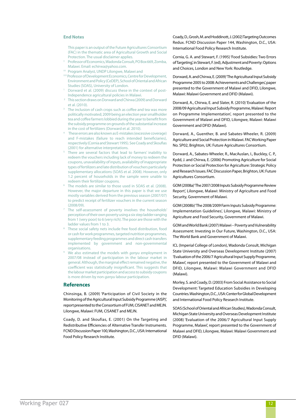#### **End Notes**

- This paper is an output of the Future Agricultures Consortium (FAC) in the thematic area of Agricultural Growth and Social Protection. The usual disclaimer applies.
- † Professor of Economics, Wadonda Consult, PO Box 669, Zomba,
- Malawi. Email: echirwa@yahoo.com. †† Program Analyst, UNDP Lilongwe, Malawi and
- ††† Professor of Development Economics, Centre for Development, Environment and Policy (CeDEP), School of Oriental and African Studies (SOAS), University of London.
- Dorward et al. (2009) discuss these in the context of post-Independence agricultural policies in Malawi.<br>This section draws on Dorward and Chirwa (2009) and Dorward
- et al. (2010).
- <sup>3</sup> The inclusion of cash crops such as coffee and tea was more politically motivated; 2009 being an election year smallholder tea and coffee farmers lobbied during the year to benefit from the subsidy programme on grounds of the substantial increase in the cost of fertilizers (Dorward et al. 2010).
- These errors are also known as E-mistakes (excessive coverage) and F-mistakes (failure to reach intended beneficiaries), respectively (Cornia and Stewart 1995). See Coady and Skoufias (2001) for alternative interpretations.
- There are several factors that lead to farmers' inability to redeem the vouchers including lack of money to redeem the coupons, unavailability of inputs, availability of inappropriate types of fertilizers and late distribution of vouchers particularly supplementary allocations (SOAS et al. 2008). However, only 1.2 percent of households in the sample were unable to redeem their fertilizer coupons.
- The models are similar to those used in SOAS et al. (2008). However, the major departure in this paper is that we use mostly variables derived from the previous season (2007/07) to predict receipt of fertilizer vouchers in the current season (2008/09).
- The self-assessment of poverty involves the households' perception of their own poverty using a six step ladder ranging from 1 (very poor) to 6 (very rich). The poor are those with the ladder values from 1 to 3.
- These social safety nets include free food distribution, food or cash for work programmes, targeted nutrition programmes, supplementary feeding programmes and direct cash transfers implemented by government and non-governmental organisations.
- 9 We also estimated the models with *ganyu* employment in 2007/08 instead of participation in the labour market in general. Although, the marginal effect remained negative, the coefficient was statistically insignificant. This suggests that the labour market participation and access to subsidy coupons is more driven by non-*ganyu* labour participation.

#### **References**

Chinsinga, B. (2009) 'Participation of Civil Society in the Monitoring of the Agricultural Input Subsidy Programme (AISP)', report presented to the Consortium of FUM, CISANET and MEJN. Lilongwe, Malawi: FUM, CISANET and MEJN.

Coady, D. and Skoufias, E. (2001) On the Targeting and Redistributive Efficiencies of Alternative Transfer Instruments. FCND Discussion Paper 100, Washington, D.C., USA: International Food Policy Research Institute.

Coady, D., Grosh, M. and Hoddinott, J. (2002) Targeting Outcomes Redux. FCND Discussion Paper 144, Washington, D.C., USA: International Food Policy Research Institute.

Cornia, G. A. and Stewart, F. (1995) 'Food Subsidies: Two Errors of Targeting', in Stewart, F. (ed), Adjustment and Poverty: Options and Choices, London and New York: Routledge.

Dorward, A. and Chirwa, E. (2009) 'The Agricultural Input Subsidy Programme 2005 to 2008: Achievements and Challenges', paper presented to the Government of Malawi and DFID, Lilongwe, Malawi: Malawi Government and DFID (Malawi).

Dorward, A., Chirwa, E. and Slater, R. (2010) 'Evaluation of the 2008/09 Agricultural Input Subsidy Programme, Malawi: Report on Programme Implementation', report presented to the Government of Malawi and DFID, Lilongwe, Malawi: Malawi Government and DFID (Malawi).

Dorward, A., Guenther, B. and Sabates-Wheeler, R. (2009) Agriculture and Social Protection in Malawi. FAC Working Paper No. SP02, Brighton, UK: Future Agricultures Consortium.

Dorward, A., Sabates-Wheeler, R., MacAuslan, I., Buckley, C. P., Kydd, J. and Chirwa, E. (2006) Promoting Agriculture for Social Protection or Social Protection for Agriculture: Strategic Policy and Research Issues. FAC Discussion Paper, Brighton, UK: Future Agricultures Consortium.

GOM (2008a) 'The 2007/2008 Inputs Subsidy Programme Review Report', Lilongwe, Malawi: Ministry of Agriculture and Food Security, Government of Malawi.

GOM (2008b) 'The 2008/2009 Farm Inputs Subsidy Programme: Implementation Guidelines', Lilongwe, Malawi: Ministry of Agriculture and Food Security, Government of Malawi.

GOM and World Bank (2007) Malawi – Poverty and Vulnerability Assessment: Investing in Our Future, Washington, D.C., USA: The World Bank and Government of Malawi.

ICL (Imperial College of London), Wadonda Consult, Michigan State University and Overseas Development Institute (2007) 'Evaluation of the 2006/7 Agricultural Input Supply Programme, Malawi', report presented to the Government of Malawi and DFID, Lilongwe, Malawi: Malawi Government and DFID (Malawi).

Morley, S. and Coady, D. (2003) From Social Assistance to Social Development: Targeted Education Subsidies in Developing Countries. Washington, D.C., USA: Center for Global Development and International Food Policy Research Institute.

SOAS (School of Oriental and African Studies), Wadonda Consult, Michigan State University and Overseas Development Institute (2008) 'Evaluation of the 2006/7 Agricultural Input Supply Programme, Malawi', report presented to the Government of Malawi and DFID, Lilongwe, Malawi: Malawi Government and DFID (Malawi).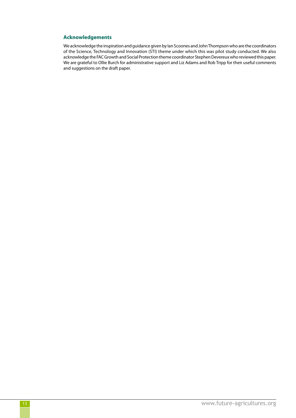## **Acknowledgements**

We acknowledge the inspiration and guidance given by Ian Scoones and John Thompson who are the coordinators of the Science, Technology and Innovation (STI) theme under which this was pilot study conducted. We also acknowledge the FAC Growth and Social Protection theme coordinator Stephen Devereux who reviewed this paper. We are grateful to Ollie Burch for administrative support and Liz Adams and Rob Tripp for their useful comments and suggestions on the draft paper.